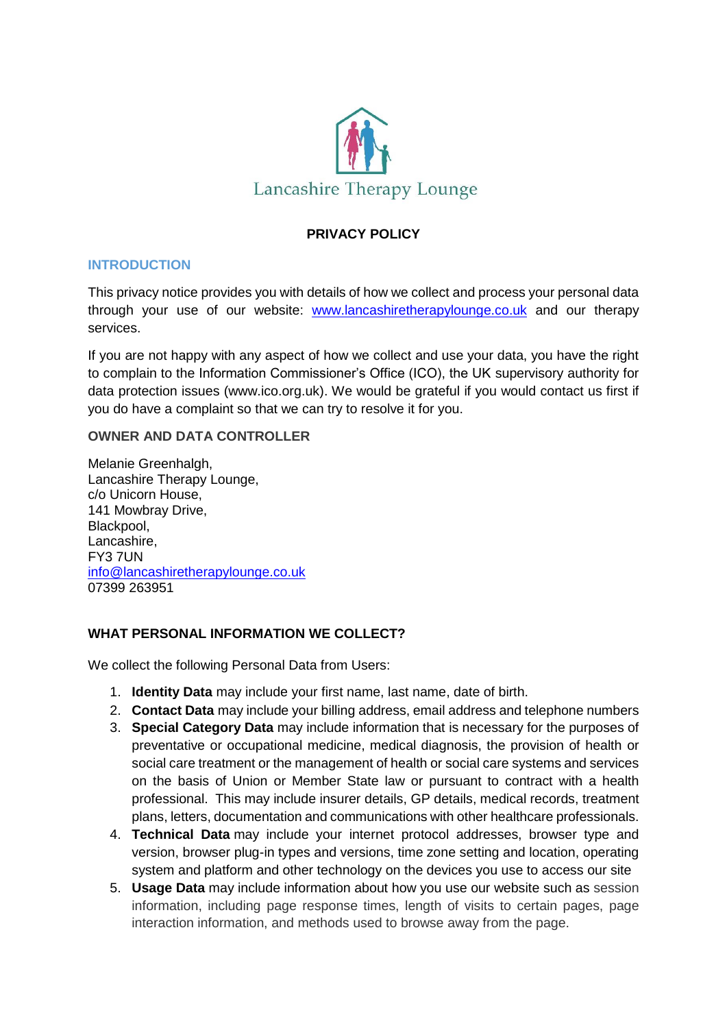

# **PRIVACY POLICY**

### **INTRODUCTION**

This privacy notice provides you with details of how we collect and process your personal data through your use of our website: [www.lancashiretherapylounge.co.uk](http://www.lancashiretherapylounge.co.uk/) and our therapy services.

If you are not happy with any aspect of how we collect and use your data, you have the right to complain to the Information Commissioner's Office (ICO), the UK supervisory authority for data protection issues [\(www.ico.org.uk\)](http://www.ico.org.uk/). We would be grateful if you would contact us first if you do have a complaint so that we can try to resolve it for you.

### **OWNER AND DATA CONTROLLER**

Melanie Greenhalgh, Lancashire Therapy Lounge, c/o Unicorn House, 141 Mowbray Drive, Blackpool, Lancashire, FY3 7UN [info@lancashiretherapylounge.co.uk](mailto:info@lancashiretherapylounge.co.uk) 07399 263951

## **WHAT PERSONAL INFORMATION WE COLLECT?**

We collect the following Personal Data from Users:

- 1. **Identity Data** may include your first name, last name, date of birth.
- 2. **Contact Data** may include your billing address, email address and telephone numbers
- 3. **Special Category Data** may include information that is necessary for the purposes of preventative or occupational medicine, medical diagnosis, the provision of health or social care treatment or the management of health or social care systems and services on the basis of Union or Member State law or pursuant to contract with a health professional. This may include insurer details, GP details, medical records, treatment plans, letters, documentation and communications with other healthcare professionals.
- 4. **Technical Data** may include your internet protocol addresses, browser type and version, browser plug-in types and versions, time zone setting and location, operating system and platform and other technology on the devices you use to access our site
- 5. **Usage Data** may include information about how you use our website such as session information, including page response times, length of visits to certain pages, page interaction information, and methods used to browse away from the page.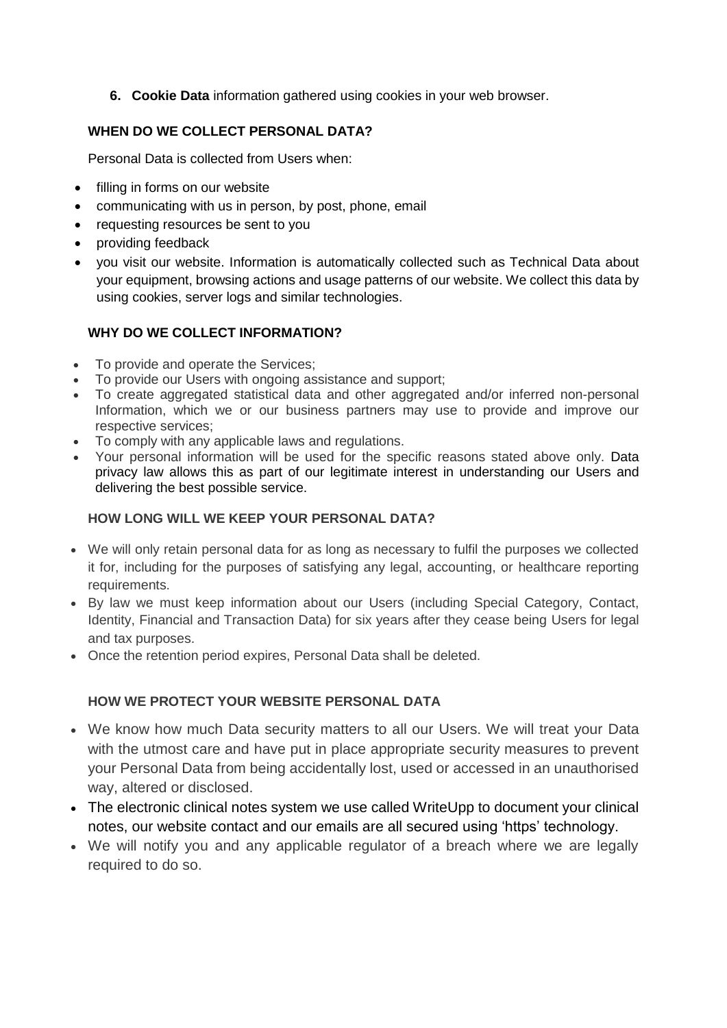**6. Cookie Data** information gathered using cookies in your web browser.

# **WHEN DO WE COLLECT PERSONAL DATA?**

Personal Data is collected from Users when:

- filling in forms on our website
- communicating with us in person, by post, phone, email
- requesting resources be sent to you
- providing feedback
- you visit our website. Information is automatically collected such as Technical Data about your equipment, browsing actions and usage patterns of our website. We collect this data by using cookies, server logs and similar technologies.

## **WHY DO WE COLLECT INFORMATION?**

- To provide and operate the Services;
- To provide our Users with ongoing assistance and support;
- To create aggregated statistical data and other aggregated and/or inferred non-personal Information, which we or our business partners may use to provide and improve our respective services;
- To comply with any applicable laws and regulations.
- Your personal information will be used for the specific reasons stated above only. Data privacy law allows this as part of our legitimate interest in understanding our Users and delivering the best possible service.

## **HOW LONG WILL WE KEEP YOUR PERSONAL DATA?**

- We will only retain personal data for as long as necessary to fulfil the purposes we collected it for, including for the purposes of satisfying any legal, accounting, or healthcare reporting requirements.
- By law we must keep information about our Users (including Special Category, Contact, Identity, Financial and Transaction Data) for six years after they cease being Users for legal and tax purposes.
- Once the retention period expires, Personal Data shall be deleted.

## **HOW WE PROTECT YOUR WEBSITE PERSONAL DATA**

- We know how much Data security matters to all our Users. We will treat your Data with the utmost care and have put in place appropriate security measures to prevent your Personal Data from being accidentally lost, used or accessed in an unauthorised way, altered or disclosed.
- The electronic clinical notes system we use called WriteUpp to document your clinical notes, our website contact and our emails are all secured using 'https' technology.
- We will notify you and any applicable regulator of a breach where we are legally required to do so.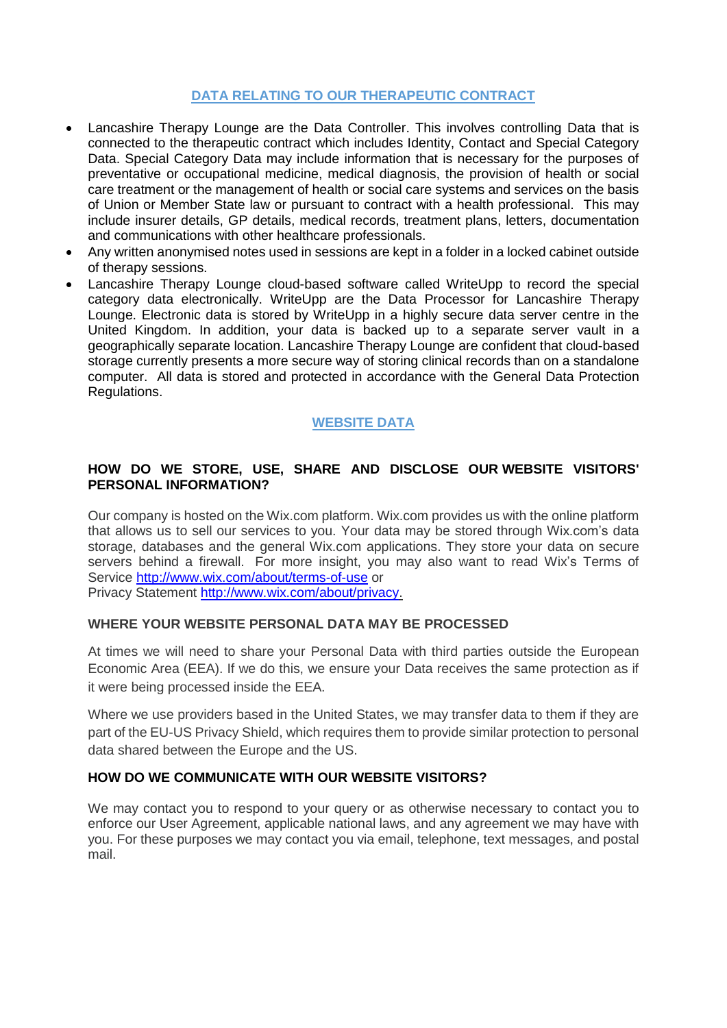## **DATA RELATING TO OUR THERAPEUTIC CONTRACT**

- Lancashire Therapy Lounge are the Data Controller. This involves controlling Data that is connected to the therapeutic contract which includes Identity, Contact and Special Category Data. Special Category Data may include information that is necessary for the purposes of preventative or occupational medicine, medical diagnosis, the provision of health or social care treatment or the management of health or social care systems and services on the basis of Union or Member State law or pursuant to contract with a health professional. This may include insurer details, GP details, medical records, treatment plans, letters, documentation and communications with other healthcare professionals.
- Any written anonymised notes used in sessions are kept in a folder in a locked cabinet outside of therapy sessions.
- Lancashire Therapy Lounge cloud-based software called WriteUpp to record the special category data electronically. WriteUpp are the Data Processor for Lancashire Therapy Lounge. Electronic data is stored by WriteUpp in a highly secure data server centre in the United Kingdom. In addition, your data is backed up to a separate server vault in a geographically separate location. Lancashire Therapy Lounge are confident that cloud-based storage currently presents a more secure way of storing clinical records than on a standalone computer. All data is stored and protected in accordance with the General Data Protection Regulations.

## **WEBSITE DATA**

### **HOW DO WE STORE, USE, SHARE AND DISCLOSE OUR WEBSITE VISITORS' PERSONAL INFORMATION?**

Our company is hosted on the Wix.com platform. Wix.com provides us with the online platform that allows us to sell our services to you. Your data may be stored through Wix.com's data storage, databases and the general Wix.com applications. They store your data on secure servers behind a firewall. For more insight, you may also want to read Wix's Terms of Service <http://www.wix.com/about/terms-of-use> or

Privacy Statement [http://www.wix.com/about/privacy.](http://www.wix.com/about/privacy)

### **WHERE YOUR WEBSITE PERSONAL DATA MAY BE PROCESSED**

At times we will need to share your Personal Data with third parties outside the European Economic Area (EEA). If we do this, we ensure your Data receives the same protection as if it were being processed inside the EEA.

Where we use providers based in the United States, we may transfer data to them if they are part of the EU-US Privacy Shield, which requires them to provide similar protection to personal data shared between the Europe and the US.

### **HOW DO WE COMMUNICATE WITH OUR WEBSITE VISITORS?**

We may contact you to respond to your query or as otherwise necessary to contact you to enforce our User Agreement, applicable national laws, and any agreement we may have with you. For these purposes we may contact you via email, telephone, text messages, and postal mail.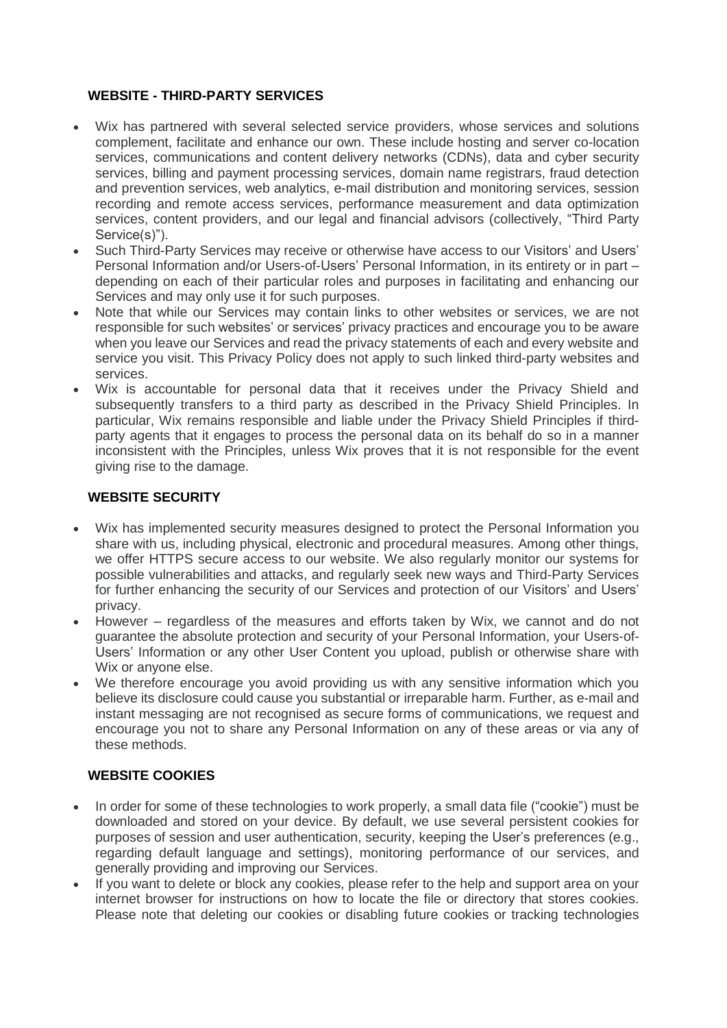### **WEBSITE - THIRD-PARTY SERVICES**

- Wix has partnered with several selected service providers, whose services and solutions complement, facilitate and enhance our own. These include hosting and server co-location services, communications and content delivery networks (CDNs), data and cyber security services, billing and payment processing services, domain name registrars, fraud detection and prevention services, web analytics, e-mail distribution and monitoring services, session recording and remote access services, performance measurement and data optimization services, content providers, and our legal and financial advisors (collectively, "Third Party Service(s)").
- Such Third-Party Services may receive or otherwise have access to our Visitors' and Users' Personal Information and/or Users-of-Users' Personal Information, in its entirety or in part – depending on each of their particular roles and purposes in facilitating and enhancing our Services and may only use it for such purposes.
- Note that while our Services may contain links to other websites or services, we are not responsible for such websites' or services' privacy practices and encourage you to be aware when you leave our Services and read the privacy statements of each and every website and service you visit. This Privacy Policy does not apply to such linked third-party websites and services.
- Wix is accountable for personal data that it receives under the Privacy Shield and subsequently transfers to a third party as described in the Privacy Shield Principles. In particular, Wix remains responsible and liable under the Privacy Shield Principles if thirdparty agents that it engages to process the personal data on its behalf do so in a manner inconsistent with the Principles, unless Wix proves that it is not responsible for the event giving rise to the damage.

### **WEBSITE SECURITY**

- Wix has implemented security measures designed to protect the Personal Information you share with us, including physical, electronic and procedural measures. Among other things, we offer HTTPS secure access to our website. We also regularly monitor our systems for possible vulnerabilities and attacks, and regularly seek new ways and Third-Party Services for further enhancing the security of our Services and protection of our Visitors' and Users' privacy.
- However regardless of the measures and efforts taken by Wix, we cannot and do not guarantee the absolute protection and security of your Personal Information, your Users-of-Users' Information or any other User Content you upload, publish or otherwise share with Wix or anyone else.
- We therefore encourage you avoid providing us with any sensitive information which you believe its disclosure could cause you substantial or irreparable harm. Further, as e-mail and instant messaging are not recognised as secure forms of communications, we request and encourage you not to share any Personal Information on any of these areas or via any of these methods.

## **WEBSITE COOKIES**

- In order for some of these technologies to work properly, a small data file ("cookie") must be downloaded and stored on your device. By default, we use several persistent cookies for purposes of session and user authentication, security, keeping the User's preferences (e.g., regarding default language and settings), monitoring performance of our services, and generally providing and improving our Services.
- If you want to delete or block any cookies, please refer to the help and support area on your internet browser for instructions on how to locate the file or directory that stores cookies. Please note that deleting our cookies or disabling future cookies or tracking technologies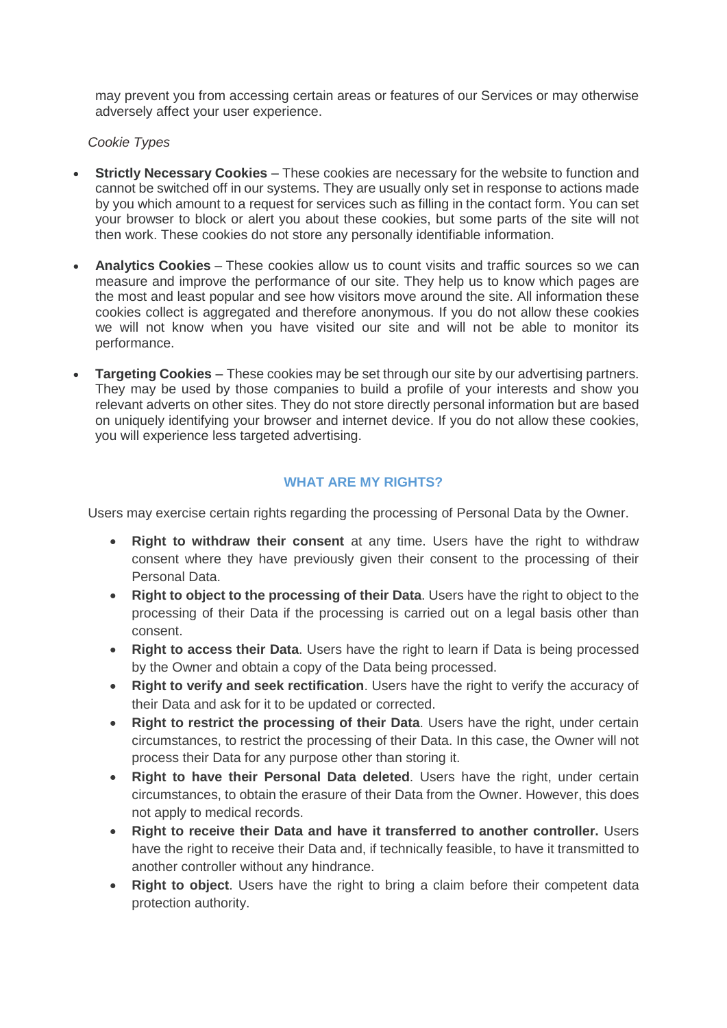may prevent you from accessing certain areas or features of our Services or may otherwise adversely affect your user experience.

#### *Cookie Types*

- **Strictly Necessary Cookies** These cookies are necessary for the website to function and cannot be switched off in our systems. They are usually only set in response to actions made by you which amount to a request for services such as filling in the contact form. You can set your browser to block or alert you about these cookies, but some parts of the site will not then work. These cookies do not store any personally identifiable information.
- **Analytics Cookies** These cookies allow us to count visits and traffic sources so we can measure and improve the performance of our site. They help us to know which pages are the most and least popular and see how visitors move around the site. All information these cookies collect is aggregated and therefore anonymous. If you do not allow these cookies we will not know when you have visited our site and will not be able to monitor its performance.
- **Targeting Cookies** These cookies may be set through our site by our advertising partners. They may be used by those companies to build a profile of your interests and show you relevant adverts on other sites. They do not store directly personal information but are based on uniquely identifying your browser and internet device. If you do not allow these cookies, you will experience less targeted advertising.

### **WHAT ARE MY RIGHTS?**

Users may exercise certain rights regarding the processing of Personal Data by the Owner.

- **Right to withdraw their consent** at any time. Users have the right to withdraw consent where they have previously given their consent to the processing of their Personal Data.
- **Right to object to the processing of their Data**. Users have the right to object to the processing of their Data if the processing is carried out on a legal basis other than consent.
- **Right to access their Data**. Users have the right to learn if Data is being processed by the Owner and obtain a copy of the Data being processed.
- **Right to verify and seek rectification**. Users have the right to verify the accuracy of their Data and ask for it to be updated or corrected.
- **Right to restrict the processing of their Data**. Users have the right, under certain circumstances, to restrict the processing of their Data. In this case, the Owner will not process their Data for any purpose other than storing it.
- **Right to have their Personal Data deleted**. Users have the right, under certain circumstances, to obtain the erasure of their Data from the Owner. However, this does not apply to medical records.
- **Right to receive their Data and have it transferred to another controller.** Users have the right to receive their Data and, if technically feasible, to have it transmitted to another controller without any hindrance.
- **Right to object**. Users have the right to bring a claim before their competent data protection authority.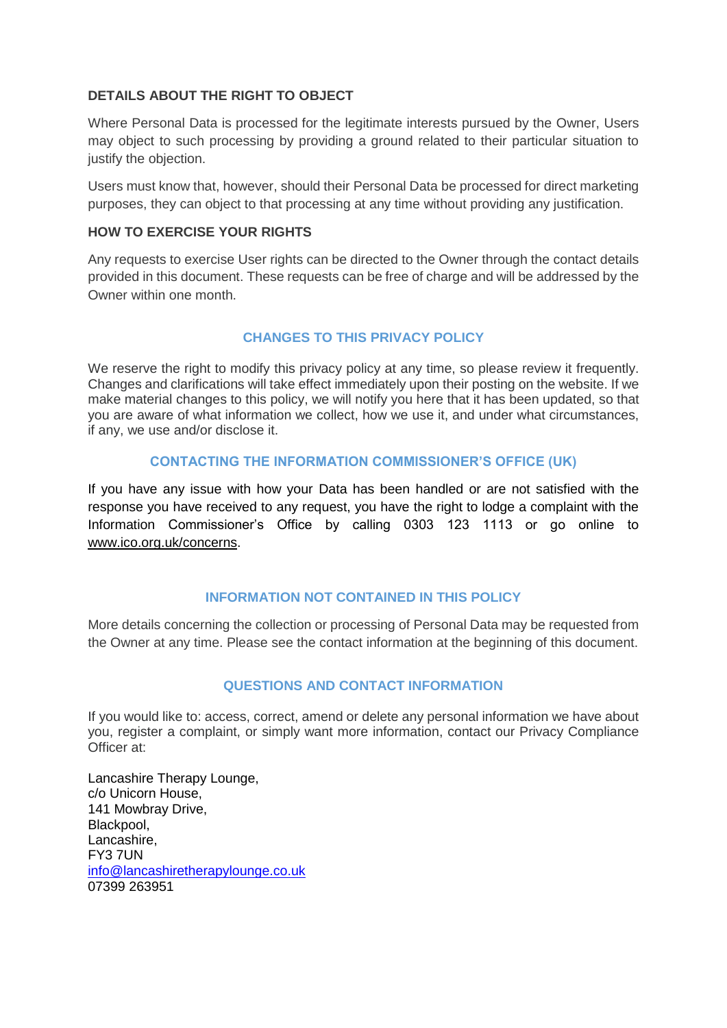### **DETAILS ABOUT THE RIGHT TO OBJECT**

Where Personal Data is processed for the legitimate interests pursued by the Owner, Users may object to such processing by providing a ground related to their particular situation to justify the objection.

Users must know that, however, should their Personal Data be processed for direct marketing purposes, they can object to that processing at any time without providing any justification.

### **HOW TO EXERCISE YOUR RIGHTS**

Any requests to exercise User rights can be directed to the Owner through the contact details provided in this document. These requests can be free of charge and will be addressed by the Owner within one month.

## **CHANGES TO THIS PRIVACY POLICY**

We reserve the right to modify this privacy policy at any time, so please review it frequently. Changes and clarifications will take effect immediately upon their posting on the website. If we make material changes to this policy, we will notify you here that it has been updated, so that you are aware of what information we collect, how we use it, and under what circumstances, if any, we use and/or disclose it.

### **CONTACTING THE INFORMATION COMMISSIONER'S OFFICE (UK)**

If you have any issue with how your Data has been handled or are not satisfied with the response you have received to any request, you have the right to lodge a complaint with the Information Commissioner's Office by calling 0303 123 1113 or go online to [www.ico.org.uk/concerns.](http://www.ico.org.uk/concerns)

## **INFORMATION NOT CONTAINED IN THIS POLICY**

More details concerning the collection or processing of Personal Data may be requested from the Owner at any time. Please see the contact information at the beginning of this document.

## **QUESTIONS AND CONTACT INFORMATION**

If you would like to: access, correct, amend or delete any personal information we have about you, register a complaint, or simply want more information, contact our Privacy Compliance Officer at:

Lancashire Therapy Lounge, c/o Unicorn House, 141 Mowbray Drive, Blackpool, Lancashire, FY3 7UN [info@lancashiretherapylounge.co.uk](mailto:info@lancashiretherapylounge.co.uk) 07399 263951